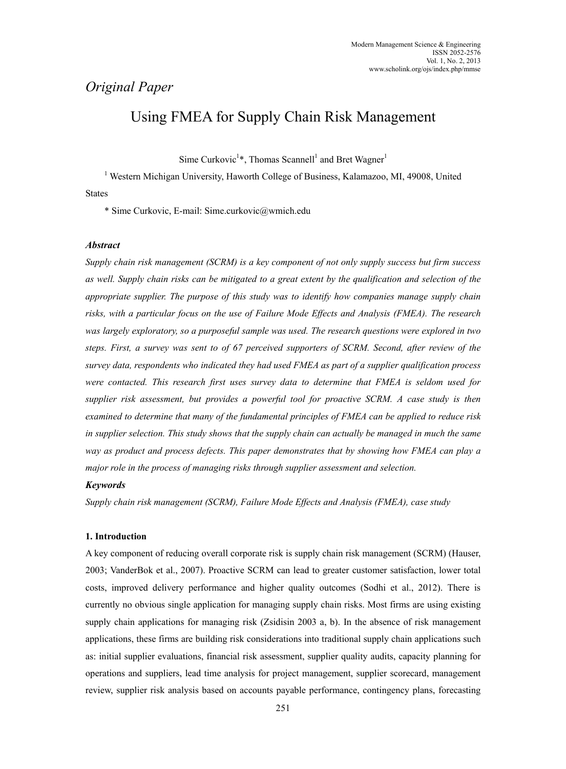# Using FMEA for Supply Chain Risk Management

Sime Curkovic<sup>1</sup>\*, Thomas Scannell<sup>1</sup> and Bret Wagner<sup>1</sup>

<sup>1</sup> Western Michigan University, Haworth College of Business, Kalamazoo, MI, 49008, United States

\* Sime Curkovic, E-mail: Sime.curkovic@wmich.edu

### *Abstract*

*Supply chain risk management (SCRM) is a key component of not only supply success but firm success as well. Supply chain risks can be mitigated to a great extent by the qualification and selection of the appropriate supplier. The purpose of this study was to identify how companies manage supply chain risks, with a particular focus on the use of Failure Mode Effects and Analysis (FMEA). The research was largely exploratory, so a purposeful sample was used. The research questions were explored in two steps. First, a survey was sent to of 67 perceived supporters of SCRM. Second, after review of the survey data, respondents who indicated they had used FMEA as part of a supplier qualification process were contacted. This research first uses survey data to determine that FMEA is seldom used for supplier risk assessment, but provides a powerful tool for proactive SCRM. A case study is then examined to determine that many of the fundamental principles of FMEA can be applied to reduce risk in supplier selection. This study shows that the supply chain can actually be managed in much the same way as product and process defects. This paper demonstrates that by showing how FMEA can play a major role in the process of managing risks through supplier assessment and selection.* 

# *Keywords*

*Supply chain risk management (SCRM), Failure Mode Effects and Analysis (FMEA), case study* 

# **1. Introduction**

A key component of reducing overall corporate risk is supply chain risk management (SCRM) (Hauser, 2003; VanderBok et al., 2007). Proactive SCRM can lead to greater customer satisfaction, lower total costs, improved delivery performance and higher quality outcomes (Sodhi et al., 2012). There is currently no obvious single application for managing supply chain risks. Most firms are using existing supply chain applications for managing risk (Zsidisin 2003 a, b). In the absence of risk management applications, these firms are building risk considerations into traditional supply chain applications such as: initial supplier evaluations, financial risk assessment, supplier quality audits, capacity planning for operations and suppliers, lead time analysis for project management, supplier scorecard, management review, supplier risk analysis based on accounts payable performance, contingency plans, forecasting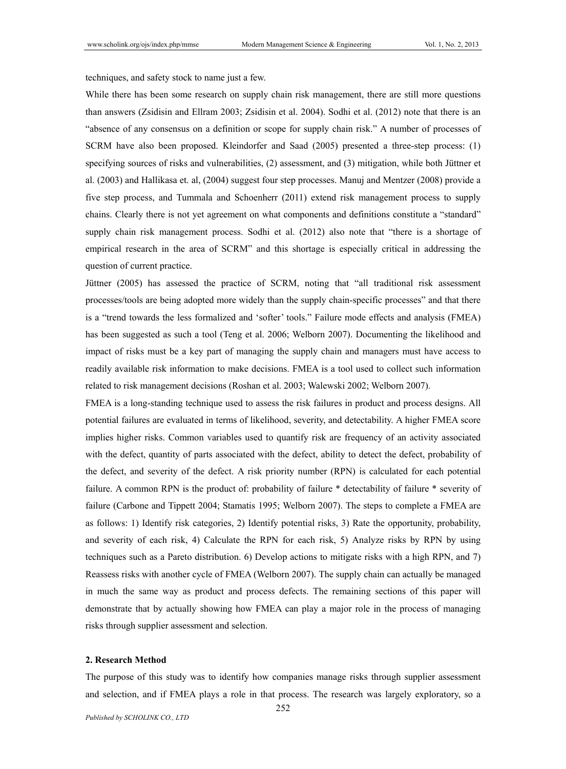techniques, and safety stock to name just a few.

While there has been some research on supply chain risk management, there are still more questions than answers (Zsidisin and Ellram 2003; Zsidisin et al. 2004). Sodhi et al. (2012) note that there is an "absence of any consensus on a definition or scope for supply chain risk." A number of processes of SCRM have also been proposed. Kleindorfer and Saad (2005) presented a three-step process: (1) specifying sources of risks and vulnerabilities, (2) assessment, and (3) mitigation, while both Jüttner et al. (2003) and Hallikasa et. al, (2004) suggest four step processes. Manuj and Mentzer (2008) provide a five step process, and Tummala and Schoenherr (2011) extend risk management process to supply chains. Clearly there is not yet agreement on what components and definitions constitute a "standard" supply chain risk management process. Sodhi et al. (2012) also note that "there is a shortage of empirical research in the area of SCRM" and this shortage is especially critical in addressing the question of current practice.

Jüttner (2005) has assessed the practice of SCRM, noting that "all traditional risk assessment processes/tools are being adopted more widely than the supply chain-specific processes" and that there is a "trend towards the less formalized and 'softer' tools." Failure mode effects and analysis (FMEA) has been suggested as such a tool (Teng et al. 2006; Welborn 2007). Documenting the likelihood and impact of risks must be a key part of managing the supply chain and managers must have access to readily available risk information to make decisions. FMEA is a tool used to collect such information related to risk management decisions (Roshan et al. 2003; Walewski 2002; Welborn 2007).

FMEA is a long-standing technique used to assess the risk failures in product and process designs. All potential failures are evaluated in terms of likelihood, severity, and detectability. A higher FMEA score implies higher risks. Common variables used to quantify risk are frequency of an activity associated with the defect, quantity of parts associated with the defect, ability to detect the defect, probability of the defect, and severity of the defect. A risk priority number (RPN) is calculated for each potential failure. A common RPN is the product of: probability of failure \* detectability of failure \* severity of failure (Carbone and Tippett 2004; Stamatis 1995; Welborn 2007). The steps to complete a FMEA are as follows: 1) Identify risk categories, 2) Identify potential risks, 3) Rate the opportunity, probability, and severity of each risk, 4) Calculate the RPN for each risk, 5) Analyze risks by RPN by using techniques such as a Pareto distribution. 6) Develop actions to mitigate risks with a high RPN, and 7) Reassess risks with another cycle of FMEA (Welborn 2007). The supply chain can actually be managed in much the same way as product and process defects. The remaining sections of this paper will demonstrate that by actually showing how FMEA can play a major role in the process of managing risks through supplier assessment and selection.

### **2. Research Method**

The purpose of this study was to identify how companies manage risks through supplier assessment and selection, and if FMEA plays a role in that process. The research was largely exploratory, so a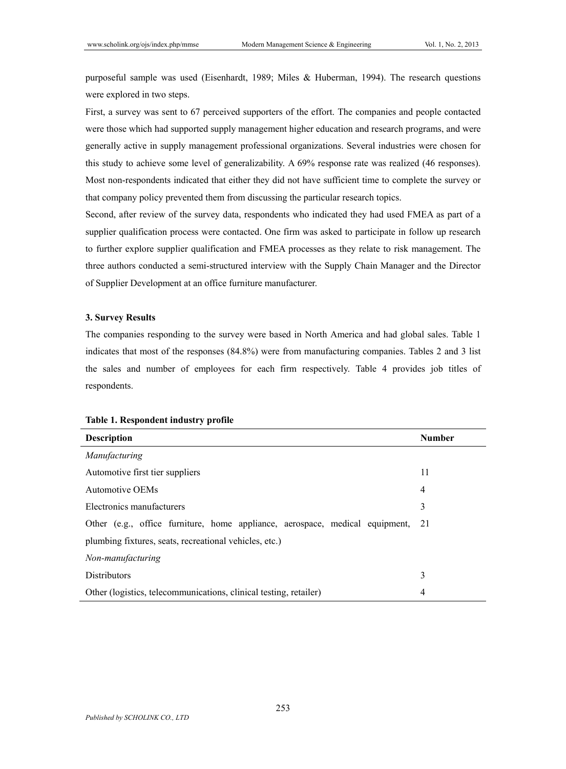purposeful sample was used (Eisenhardt, 1989; Miles & Huberman, 1994). The research questions were explored in two steps.

First, a survey was sent to 67 perceived supporters of the effort. The companies and people contacted were those which had supported supply management higher education and research programs, and were generally active in supply management professional organizations. Several industries were chosen for this study to achieve some level of generalizability. A 69% response rate was realized (46 responses). Most non-respondents indicated that either they did not have sufficient time to complete the survey or that company policy prevented them from discussing the particular research topics.

Second, after review of the survey data, respondents who indicated they had used FMEA as part of a supplier qualification process were contacted. One firm was asked to participate in follow up research to further explore supplier qualification and FMEA processes as they relate to risk management. The three authors conducted a semi-structured interview with the Supply Chain Manager and the Director of Supplier Development at an office furniture manufacturer.

#### **3. Survey Results**

The companies responding to the survey were based in North America and had global sales. Table 1 indicates that most of the responses (84.8%) were from manufacturing companies. Tables 2 and 3 list the sales and number of employees for each firm respectively. Table 4 provides job titles of respondents.

| <b>Description</b>                                                           | <b>Number</b> |
|------------------------------------------------------------------------------|---------------|
| Manufacturing                                                                |               |
| Automotive first tier suppliers                                              | 11            |
| Automotive OEMs                                                              | 4             |
| Electronics manufacturers                                                    | 3             |
| Other (e.g., office furniture, home appliance, aerospace, medical equipment, | 21            |
| plumbing fixtures, seats, recreational vehicles, etc.)                       |               |
| Non-manufacturing                                                            |               |
| <b>Distributors</b>                                                          | 3             |
| Other (logistics, telecommunications, clinical testing, retailer)            | 4             |

#### **Table 1. Respondent industry profile**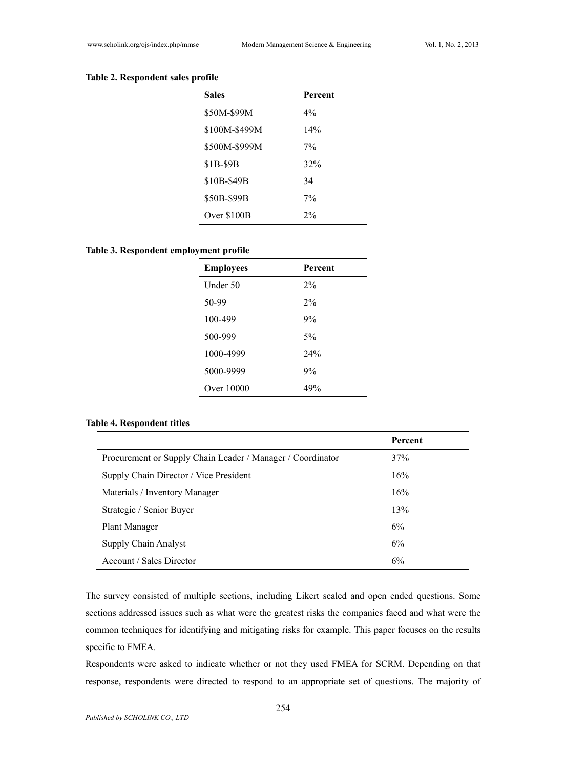#### **Table 2. Respondent sales profile**

| <b>Sales</b>  | Percent |
|---------------|---------|
| \$50M-\$99M   | $4\%$   |
| \$100M-\$499M | 14%     |
| \$500M-\$999M | $7\%$   |
| \$1B-\$9B     | 32%     |
| \$10B-\$49B   | 34      |
| \$50B-\$99B   | $7\%$   |
| Over \$100B   | $2\%$   |

#### **Table 3. Respondent employment profile**

| <b>Employees</b> | Percent |
|------------------|---------|
| Under 50         | 2%      |
| 50-99            | 2%      |
| 100-499          | 9%      |
| 500-999          | 5%      |
| 1000-4999        | 24%     |
| 5000-9999        | 9%      |
| Over 10000       | 49%     |

#### **Table 4. Respondent titles**

|                                                            | Percent |  |
|------------------------------------------------------------|---------|--|
| Procurement or Supply Chain Leader / Manager / Coordinator | 37%     |  |
| Supply Chain Director / Vice President                     | 16%     |  |
| Materials / Inventory Manager                              | 16%     |  |
| Strategic / Senior Buyer                                   | 13%     |  |
| Plant Manager                                              | 6%      |  |
| Supply Chain Analyst                                       | 6%      |  |
| Account / Sales Director                                   | 6%      |  |

The survey consisted of multiple sections, including Likert scaled and open ended questions. Some sections addressed issues such as what were the greatest risks the companies faced and what were the common techniques for identifying and mitigating risks for example. This paper focuses on the results specific to FMEA.

Respondents were asked to indicate whether or not they used FMEA for SCRM. Depending on that response, respondents were directed to respond to an appropriate set of questions. The majority of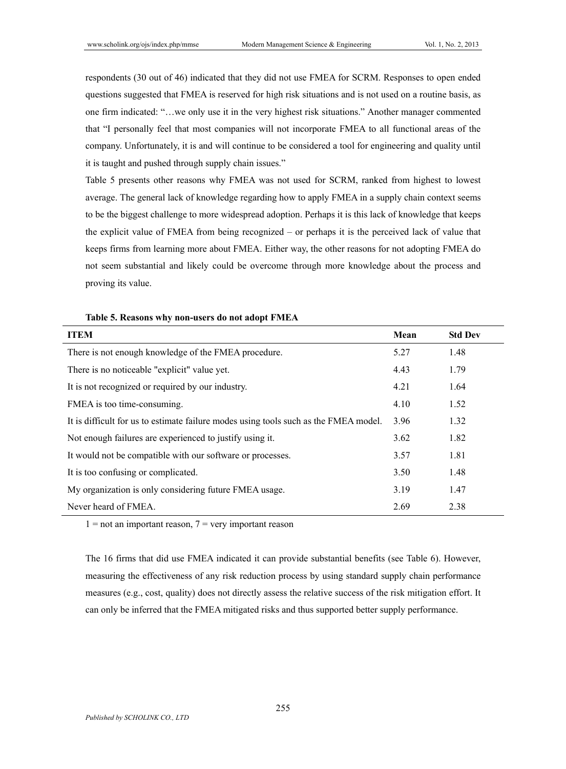respondents (30 out of 46) indicated that they did not use FMEA for SCRM. Responses to open ended questions suggested that FMEA is reserved for high risk situations and is not used on a routine basis, as one firm indicated: "…we only use it in the very highest risk situations." Another manager commented that "I personally feel that most companies will not incorporate FMEA to all functional areas of the company. Unfortunately, it is and will continue to be considered a tool for engineering and quality until it is taught and pushed through supply chain issues."

Table 5 presents other reasons why FMEA was not used for SCRM, ranked from highest to lowest average. The general lack of knowledge regarding how to apply FMEA in a supply chain context seems to be the biggest challenge to more widespread adoption. Perhaps it is this lack of knowledge that keeps the explicit value of FMEA from being recognized – or perhaps it is the perceived lack of value that keeps firms from learning more about FMEA. Either way, the other reasons for not adopting FMEA do not seem substantial and likely could be overcome through more knowledge about the process and proving its value.

| <b>ITEM</b>                                                                          | Mean | <b>Std Dev</b> |
|--------------------------------------------------------------------------------------|------|----------------|
| There is not enough knowledge of the FMEA procedure.                                 | 5.27 | 1.48           |
| There is no noticeable "explicit" value yet.                                         | 4.43 | 1.79           |
| It is not recognized or required by our industry.                                    | 4.21 | 1.64           |
| FMEA is too time-consuming.                                                          | 4.10 | 1.52           |
| It is difficult for us to estimate failure modes using tools such as the FMEA model. | 3.96 | 1.32           |
| Not enough failures are experienced to justify using it.                             | 3.62 | 1.82           |
| It would not be compatible with our software or processes.                           | 3.57 | 1.81           |
| It is too confusing or complicated.                                                  | 3.50 | 1.48           |
| My organization is only considering future FMEA usage.                               | 3.19 | 1.47           |
| Never heard of FMEA.                                                                 | 2.69 | 2.38           |

#### **Table 5. Reasons why non-users do not adopt FMEA**

 $1 =$  not an important reason,  $7 =$  very important reason

The 16 firms that did use FMEA indicated it can provide substantial benefits (see Table 6). However, measuring the effectiveness of any risk reduction process by using standard supply chain performance measures (e.g., cost, quality) does not directly assess the relative success of the risk mitigation effort. It can only be inferred that the FMEA mitigated risks and thus supported better supply performance.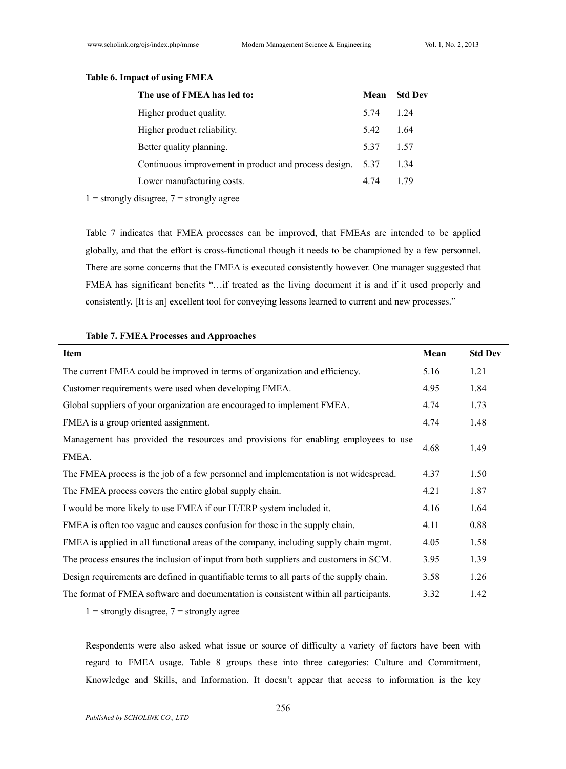# **Table 6. Impact of using FMEA**

| The use of FMEA has led to:                           | Mean | <b>Std Dev</b> |
|-------------------------------------------------------|------|----------------|
| Higher product quality.                               | 5 74 | 1 24           |
| Higher product reliability.                           | 542  | -1.64          |
| Better quality planning.                              | 537  | -1.57          |
| Continuous improvement in product and process design. | 5.37 | 1.34           |
| Lower manufacturing costs.                            | 4 74 | 179            |

 $1 =$  strongly disagree,  $7 =$  strongly agree

Table 7 indicates that FMEA processes can be improved, that FMEAs are intended to be applied globally, and that the effort is cross-functional though it needs to be championed by a few personnel. There are some concerns that the FMEA is executed consistently however. One manager suggested that FMEA has significant benefits "…if treated as the living document it is and if it used properly and consistently. [It is an] excellent tool for conveying lessons learned to current and new processes."

# **Table 7. FMEA Processes and Approaches**

| Item                                                                                    | Mean | <b>Std Dev</b> |
|-----------------------------------------------------------------------------------------|------|----------------|
| The current FMEA could be improved in terms of organization and efficiency.             | 5.16 | 1.21           |
| Customer requirements were used when developing FMEA.                                   | 4.95 | 1.84           |
| Global suppliers of your organization are encouraged to implement FMEA.                 | 4.74 | 1.73           |
| FMEA is a group oriented assignment.                                                    | 4.74 | 1.48           |
| Management has provided the resources and provisions for enabling employees to use      | 4.68 | 1.49           |
| FMEA.                                                                                   |      |                |
| The FMEA process is the job of a few personnel and implementation is not widespread.    | 4.37 | 1.50           |
| The FMEA process covers the entire global supply chain.                                 | 4.21 | 1.87           |
| I would be more likely to use FMEA if our IT/ERP system included it.                    | 4.16 | 1.64           |
| FMEA is often too vague and causes confusion for those in the supply chain.             | 4.11 | 0.88           |
| FMEA is applied in all functional areas of the company, including supply chain mgmt.    | 4.05 | 1.58           |
| The process ensures the inclusion of input from both suppliers and customers in SCM.    | 3.95 | 1.39           |
| Design requirements are defined in quantifiable terms to all parts of the supply chain. | 3.58 | 1.26           |
| The format of FMEA software and documentation is consistent within all participants.    | 3.32 | 1.42           |

 $1 =$  strongly disagree,  $7 =$  strongly agree

Respondents were also asked what issue or source of difficulty a variety of factors have been with regard to FMEA usage. Table 8 groups these into three categories: Culture and Commitment, Knowledge and Skills, and Information. It doesn't appear that access to information is the key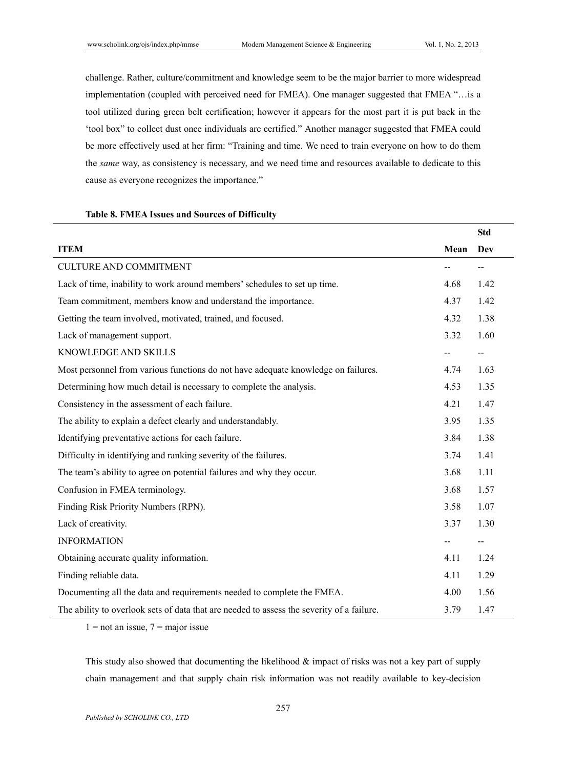challenge. Rather, culture/commitment and knowledge seem to be the major barrier to more widespread implementation (coupled with perceived need for FMEA). One manager suggested that FMEA "…is a tool utilized during green belt certification; however it appears for the most part it is put back in the 'tool box" to collect dust once individuals are certified." Another manager suggested that FMEA could be more effectively used at her firm: "Training and time. We need to train everyone on how to do them the *same* way, as consistency is necessary, and we need time and resources available to dedicate to this cause as everyone recognizes the importance."

#### **Table 8. FMEA Issues and Sources of Difficulty**

|                                                                                           |      | <b>Std</b>                    |
|-------------------------------------------------------------------------------------------|------|-------------------------------|
| <b>ITEM</b>                                                                               | Mean | Dev                           |
| <b>CULTURE AND COMMITMENT</b>                                                             |      | --                            |
| Lack of time, inability to work around members' schedules to set up time.                 | 4.68 | 1.42                          |
| Team commitment, members know and understand the importance.                              | 4.37 | 1.42                          |
| Getting the team involved, motivated, trained, and focused.                               | 4.32 | 1.38                          |
| Lack of management support.                                                               | 3.32 | 1.60                          |
| KNOWLEDGE AND SKILLS                                                                      | $-$  | $\qquad \qquad \qquad \qquad$ |
| Most personnel from various functions do not have adequate knowledge on failures.         | 4.74 | 1.63                          |
| Determining how much detail is necessary to complete the analysis.                        | 4.53 | 1.35                          |
| Consistency in the assessment of each failure.                                            | 4.21 | 1.47                          |
| The ability to explain a defect clearly and understandably.                               | 3.95 | 1.35                          |
| Identifying preventative actions for each failure.                                        | 3.84 | 1.38                          |
| Difficulty in identifying and ranking severity of the failures.                           | 3.74 | 1.41                          |
| The team's ability to agree on potential failures and why they occur.                     | 3.68 | 1.11                          |
| Confusion in FMEA terminology.                                                            | 3.68 | 1.57                          |
| Finding Risk Priority Numbers (RPN).                                                      | 3.58 | 1.07                          |
| Lack of creativity.                                                                       | 3.37 | 1.30                          |
| <b>INFORMATION</b>                                                                        |      | $\overline{\phantom{a}}$      |
| Obtaining accurate quality information.                                                   | 4.11 | 1.24                          |
| Finding reliable data.                                                                    | 4.11 | 1.29                          |
| Documenting all the data and requirements needed to complete the FMEA.                    | 4.00 | 1.56                          |
| The ability to overlook sets of data that are needed to assess the severity of a failure. | 3.79 | 1.47                          |

 $1 =$ not an issue,  $7 =$ major issue

This study also showed that documenting the likelihood & impact of risks was not a key part of supply chain management and that supply chain risk information was not readily available to key-decision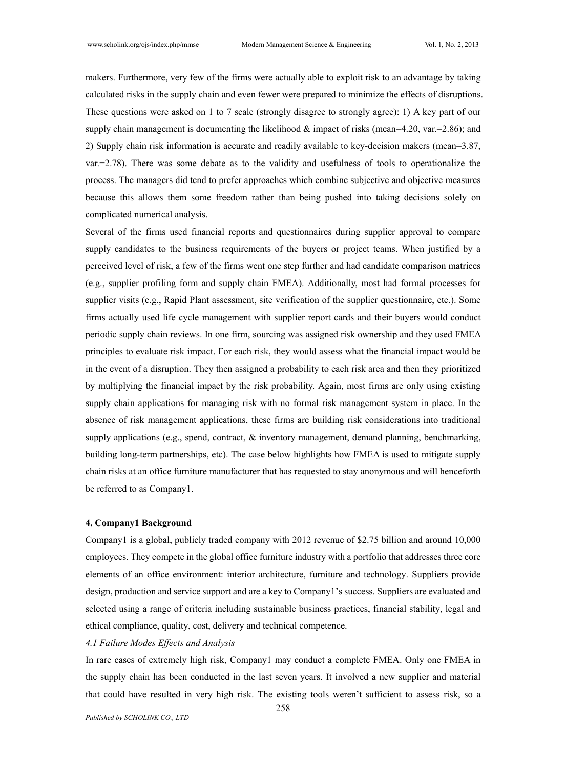makers. Furthermore, very few of the firms were actually able to exploit risk to an advantage by taking calculated risks in the supply chain and even fewer were prepared to minimize the effects of disruptions. These questions were asked on 1 to 7 scale (strongly disagree to strongly agree): 1) A key part of our supply chain management is documenting the likelihood  $\&$  impact of risks (mean=4.20, var. = 2.86); and 2) Supply chain risk information is accurate and readily available to key-decision makers (mean=3.87, var.=2.78). There was some debate as to the validity and usefulness of tools to operationalize the process. The managers did tend to prefer approaches which combine subjective and objective measures because this allows them some freedom rather than being pushed into taking decisions solely on complicated numerical analysis.

Several of the firms used financial reports and questionnaires during supplier approval to compare supply candidates to the business requirements of the buyers or project teams. When justified by a perceived level of risk, a few of the firms went one step further and had candidate comparison matrices (e.g., supplier profiling form and supply chain FMEA). Additionally, most had formal processes for supplier visits (e.g., Rapid Plant assessment, site verification of the supplier questionnaire, etc.). Some firms actually used life cycle management with supplier report cards and their buyers would conduct periodic supply chain reviews. In one firm, sourcing was assigned risk ownership and they used FMEA principles to evaluate risk impact. For each risk, they would assess what the financial impact would be in the event of a disruption. They then assigned a probability to each risk area and then they prioritized by multiplying the financial impact by the risk probability. Again, most firms are only using existing supply chain applications for managing risk with no formal risk management system in place. In the absence of risk management applications, these firms are building risk considerations into traditional supply applications (e.g., spend, contract,  $\&$  inventory management, demand planning, benchmarking, building long-term partnerships, etc). The case below highlights how FMEA is used to mitigate supply chain risks at an office furniture manufacturer that has requested to stay anonymous and will henceforth be referred to as Company1.

# **4. Company1 Background**

Company1 is a global, publicly traded company with 2012 revenue of \$2.75 billion and around 10,000 employees. They compete in the global office furniture industry with a portfolio that addresses three core elements of an office environment: interior architecture, furniture and technology. Suppliers provide design, production and service support and are a key to Company1's success. Suppliers are evaluated and selected using a range of criteria including sustainable business practices, financial stability, legal and ethical compliance, quality, cost, delivery and technical competence.

#### *4.1 Failure Modes Effects and Analysis*

In rare cases of extremely high risk, Company1 may conduct a complete FMEA. Only one FMEA in the supply chain has been conducted in the last seven years. It involved a new supplier and material that could have resulted in very high risk. The existing tools weren't sufficient to assess risk, so a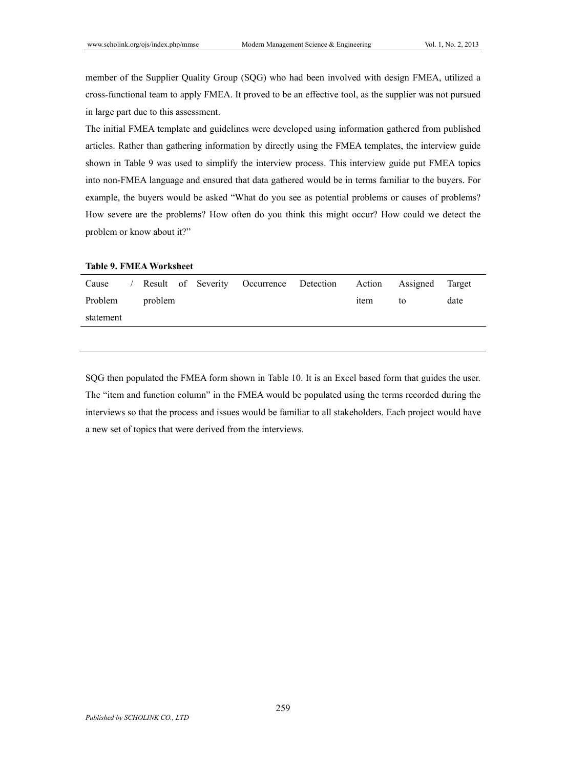member of the Supplier Quality Group (SQG) who had been involved with design FMEA, utilized a cross-functional team to apply FMEA. It proved to be an effective tool, as the supplier was not pursued in large part due to this assessment.

The initial FMEA template and guidelines were developed using information gathered from published articles. Rather than gathering information by directly using the FMEA templates, the interview guide shown in Table 9 was used to simplify the interview process. This interview guide put FMEA topics into non-FMEA language and ensured that data gathered would be in terms familiar to the buyers. For example, the buyers would be asked "What do you see as potential problems or causes of problems? How severe are the problems? How often do you think this might occur? How could we detect the problem or know about it?"

| Cause     |         |  | Result of Severity Occurrence Detection Action Assigned Target |      |    |      |
|-----------|---------|--|----------------------------------------------------------------|------|----|------|
| Problem   | problem |  |                                                                | item | to | date |
| statement |         |  |                                                                |      |    |      |
|           |         |  |                                                                |      |    |      |

SQG then populated the FMEA form shown in Table 10. It is an Excel based form that guides the user. The "item and function column" in the FMEA would be populated using the terms recorded during the interviews so that the process and issues would be familiar to all stakeholders. Each project would have a new set of topics that were derived from the interviews.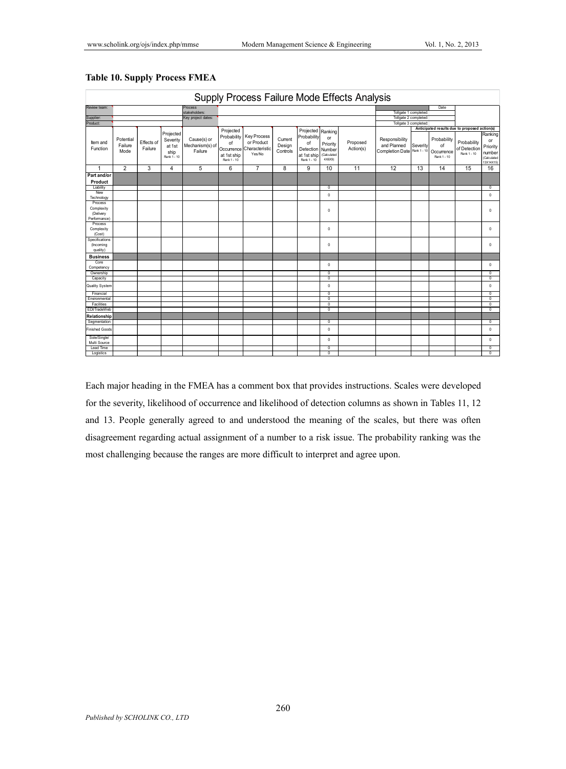|  |  | Vol. 1, No. 2, 2013 |
|--|--|---------------------|

| Supply Process Failure Mode Effects Analysis |                              |                       |                                                        |                                           |                                                               |                                                              |                               |                                                              |                                                  |                       |                                                              |                       |                                                |                                               |                                                                 |
|----------------------------------------------|------------------------------|-----------------------|--------------------------------------------------------|-------------------------------------------|---------------------------------------------------------------|--------------------------------------------------------------|-------------------------------|--------------------------------------------------------------|--------------------------------------------------|-----------------------|--------------------------------------------------------------|-----------------------|------------------------------------------------|-----------------------------------------------|-----------------------------------------------------------------|
| Review team:                                 |                              |                       |                                                        | Process                                   |                                                               |                                                              |                               |                                                              |                                                  |                       |                                                              |                       | Date                                           |                                               |                                                                 |
|                                              | stakeholders                 |                       |                                                        |                                           |                                                               |                                                              |                               |                                                              |                                                  |                       |                                                              | Tollgate 1 completed: |                                                |                                               |                                                                 |
| Supplier:                                    |                              |                       |                                                        | Key project dates:                        |                                                               |                                                              |                               |                                                              |                                                  |                       | Tollgate 2 completed:                                        |                       |                                                |                                               |                                                                 |
| Product:                                     |                              |                       |                                                        |                                           |                                                               |                                                              |                               |                                                              |                                                  |                       | Tollgate 3 completed:                                        |                       |                                                |                                               |                                                                 |
|                                              |                              |                       |                                                        |                                           | Projected                                                     |                                                              |                               | Projected                                                    | Ranking                                          |                       |                                                              |                       |                                                | Anticipated results due to proposed action(s) |                                                                 |
| Item and<br>Function                         | Potential<br>Failure<br>Mode | Effects of<br>Failure | Projected<br>Severity<br>at 1st<br>ship<br>Rank 1 - 10 | Cause(s) or<br>Mechanism(s) of<br>Failure | Probability<br>of<br>Occurrence<br>at 1st ship<br>Rank 1 - 10 | <b>Key Process</b><br>or Product<br>Characteristic<br>Yes/No | Current<br>Design<br>Controls | Probability<br>Ωf<br>Detection<br>at 1st ship<br>Rank 1 - 10 | or<br>Priority<br>Number<br>Calculated<br>4X6X9) | Proposed<br>Action(s) | Responsibility<br>and Planned<br>Completion Date Rank 1 - 10 | Severity              | Probability<br>of<br>Occurrence<br>Rank 1 - 10 | Probability<br>of Detection<br>Rank 1 - 10    | Ranking<br>or<br>Priority<br>number<br>(Calculated<br>13X14X15) |
| $\mathbf{1}$                                 | $\overline{2}$               | 3                     | $\overline{4}$                                         | 5                                         | 6                                                             | $\overline{7}$                                               | 8                             | 9                                                            | 10                                               | 11                    | 12                                                           | 13                    | 14                                             | 15                                            | 16                                                              |
| Part and/or                                  |                              |                       |                                                        |                                           |                                                               |                                                              |                               |                                                              |                                                  |                       |                                                              |                       |                                                |                                               |                                                                 |
| Product                                      |                              |                       |                                                        |                                           |                                                               |                                                              |                               |                                                              |                                                  |                       |                                                              |                       |                                                |                                               |                                                                 |
| Liability                                    |                              |                       |                                                        |                                           |                                                               |                                                              |                               |                                                              | $^{\circ}$                                       |                       |                                                              |                       |                                                |                                               | $\circ$                                                         |
| New                                          |                              |                       |                                                        |                                           |                                                               |                                                              |                               |                                                              |                                                  |                       |                                                              |                       |                                                |                                               |                                                                 |
| Technology                                   |                              |                       |                                                        |                                           |                                                               |                                                              |                               |                                                              | 0                                                |                       |                                                              |                       |                                                |                                               | $\circ$                                                         |
| Process<br>Complexity<br>(Delivery           |                              |                       |                                                        |                                           |                                                               |                                                              |                               |                                                              | $^{\circ}$                                       |                       |                                                              |                       |                                                |                                               | $\Omega$                                                        |
| Performance)                                 |                              |                       |                                                        |                                           |                                                               |                                                              |                               |                                                              |                                                  |                       |                                                              |                       |                                                |                                               |                                                                 |
| Process<br>Complexity                        |                              |                       |                                                        |                                           |                                                               |                                                              |                               |                                                              | $^{\circ}$                                       |                       |                                                              |                       |                                                |                                               | $\circ$                                                         |
| (Cost)<br>Specifications                     |                              |                       |                                                        |                                           |                                                               |                                                              |                               |                                                              |                                                  |                       |                                                              |                       |                                                |                                               |                                                                 |
| (Incoming<br>quality)                        |                              |                       |                                                        |                                           |                                                               |                                                              |                               |                                                              | $^{\circ}$                                       |                       |                                                              |                       |                                                |                                               | $\circ$                                                         |
| <b>Business</b>                              |                              |                       |                                                        |                                           |                                                               |                                                              |                               |                                                              |                                                  |                       |                                                              |                       |                                                |                                               |                                                                 |
| Core<br>Competency                           |                              |                       |                                                        |                                           |                                                               |                                                              |                               |                                                              | $^{\circ}$                                       |                       |                                                              |                       |                                                |                                               | $\circ$                                                         |
| Ownership                                    |                              |                       |                                                        |                                           |                                                               |                                                              |                               |                                                              | $^{\circ}$                                       |                       |                                                              |                       |                                                |                                               | $\circ$                                                         |
| Capacity                                     |                              |                       |                                                        |                                           |                                                               |                                                              |                               |                                                              | $^{\circ}$                                       |                       |                                                              |                       |                                                |                                               | $\circ$                                                         |
| Quality System                               |                              |                       |                                                        |                                           |                                                               |                                                              |                               |                                                              | 0                                                |                       |                                                              |                       |                                                |                                               | $\circ$                                                         |
| Financial                                    |                              |                       |                                                        |                                           |                                                               |                                                              |                               |                                                              | $\overline{0}$                                   |                       |                                                              |                       |                                                |                                               | $\circ$                                                         |
| Environmental                                |                              |                       |                                                        |                                           |                                                               |                                                              |                               |                                                              | $\overline{0}$                                   |                       |                                                              |                       |                                                |                                               | $\Omega$                                                        |
| Facilities                                   |                              |                       |                                                        |                                           |                                                               |                                                              |                               |                                                              | $\overline{0}$                                   |                       |                                                              |                       |                                                |                                               | $\circ$                                                         |
| EDI/TradeWeb                                 |                              |                       |                                                        |                                           |                                                               |                                                              |                               |                                                              | $^{\circ}$                                       |                       |                                                              |                       |                                                |                                               | $\circ$                                                         |
| Relationship                                 |                              |                       |                                                        |                                           |                                                               |                                                              |                               |                                                              |                                                  |                       |                                                              |                       |                                                |                                               |                                                                 |
| Segmentation                                 |                              |                       |                                                        |                                           |                                                               |                                                              |                               |                                                              | $^{\circ}$                                       |                       |                                                              |                       |                                                |                                               | $\circ$                                                         |
| <b>Finished Goods</b>                        |                              |                       |                                                        |                                           |                                                               |                                                              |                               |                                                              | $^{\circ}$                                       |                       |                                                              |                       |                                                |                                               | $\mathbf 0$                                                     |
| Sole/Single/<br>Multi Source                 |                              |                       |                                                        |                                           |                                                               |                                                              |                               |                                                              | $^{\circ}$                                       |                       |                                                              |                       |                                                |                                               | $\circ$                                                         |
| Lead Time                                    |                              |                       |                                                        |                                           |                                                               |                                                              |                               |                                                              | $^{\circ}$                                       |                       |                                                              |                       |                                                |                                               | $\circ$                                                         |
| Logistics                                    |                              |                       |                                                        |                                           |                                                               |                                                              |                               |                                                              | $^{\circ}$                                       |                       |                                                              |                       |                                                |                                               | $\Omega$                                                        |

# **Table 10. Supply Process FMEA**

Each major heading in the FMEA has a comment box that provides instructions. Scales were developed for the severity, likelihood of occurrence and likelihood of detection columns as shown in Tables 11, 12 and 13. People generally agreed to and understood the meaning of the scales, but there was often disagreement regarding actual assignment of a number to a risk issue. The probability ranking was the most challenging because the ranges are more difficult to interpret and agree upon.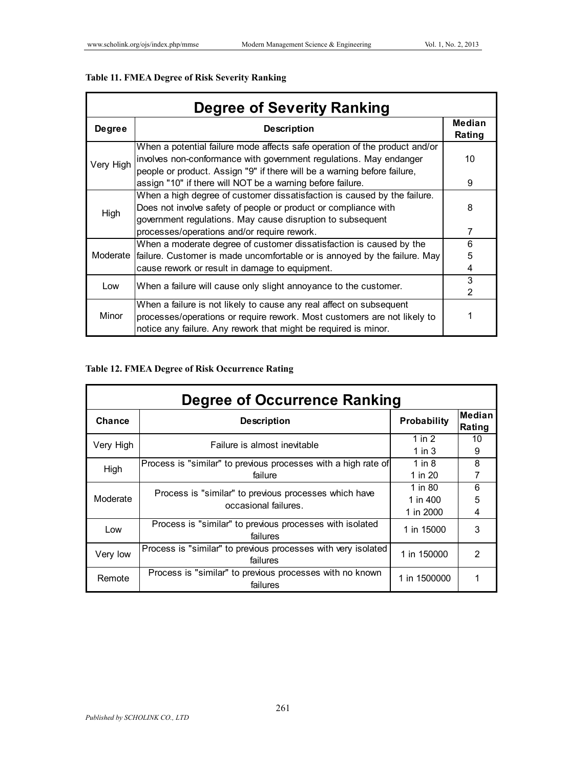| Table 11. FMEA Degree of Risk Severity Ranking |  |
|------------------------------------------------|--|
|------------------------------------------------|--|

| Degree of Severity Ranking |                                                                                                                                                                                                                              |                         |  |  |
|----------------------------|------------------------------------------------------------------------------------------------------------------------------------------------------------------------------------------------------------------------------|-------------------------|--|--|
| <b>Degree</b>              | <b>Description</b>                                                                                                                                                                                                           | <b>Median</b><br>Rating |  |  |
| Very High                  | When a potential failure mode affects safe operation of the product and/or<br>involves non-conformance with government regulations. May endanger<br>people or product. Assign "9" if there will be a warning before failure, | 10                      |  |  |
|                            | assign "10" if there will NOT be a warning before failure.                                                                                                                                                                   | 9                       |  |  |
| High                       | When a high degree of customer dissatisfaction is caused by the failure.<br>Does not involve safety of people or product or compliance with<br>government regulations. May cause disruption to subsequent                    | 8                       |  |  |
|                            | processes/operations and/or require rework.                                                                                                                                                                                  | 7                       |  |  |
|                            | When a moderate degree of customer dissatisfaction is caused by the                                                                                                                                                          | 6                       |  |  |
|                            | Moderate failure. Customer is made uncomfortable or is annoyed by the failure. May                                                                                                                                           | 5                       |  |  |
|                            | cause rework or result in damage to equipment.                                                                                                                                                                               | 4                       |  |  |
| Low                        | When a failure will cause only slight annoyance to the customer.                                                                                                                                                             |                         |  |  |
|                            |                                                                                                                                                                                                                              |                         |  |  |
| Minor                      | When a failure is not likely to cause any real affect on subsequent                                                                                                                                                          |                         |  |  |
|                            | processes/operations or require rework. Most customers are not likely to                                                                                                                                                     |                         |  |  |
|                            | notice any failure. Any rework that might be required is minor.                                                                                                                                                              |                         |  |  |

# **Table 12. FMEA Degree of Risk Occurrence Rating**

| Degree of Occurrence Ranking |                                                                               |                                  |                  |  |  |  |
|------------------------------|-------------------------------------------------------------------------------|----------------------------------|------------------|--|--|--|
| <b>Chance</b>                | <b>Description</b>                                                            | Probability                      | Median<br>Rating |  |  |  |
| Very High                    | Failure is almost inevitable                                                  | 1 in $2$<br>1 in $3$             | 10<br>9          |  |  |  |
| High                         | Process is "similar" to previous processes with a high rate of<br>failure     | 1 in $8$<br>1 in 20              | 8<br>7           |  |  |  |
| Moderate                     | Process is "similar" to previous processes which have<br>occasional failures. | 1 in 80<br>1 in 400<br>1 in 2000 | 6<br>5<br>4      |  |  |  |
| Low                          | Process is "similar" to previous processes with isolated<br>failures          | 1 in 15000                       | 3                |  |  |  |
| Very low                     | Process is "similar" to previous processes with very isolated<br>failures     | 1 in 150000                      | 2                |  |  |  |
| Remote                       | Process is "similar" to previous processes with no known<br>failures          | 1 in 1500000                     |                  |  |  |  |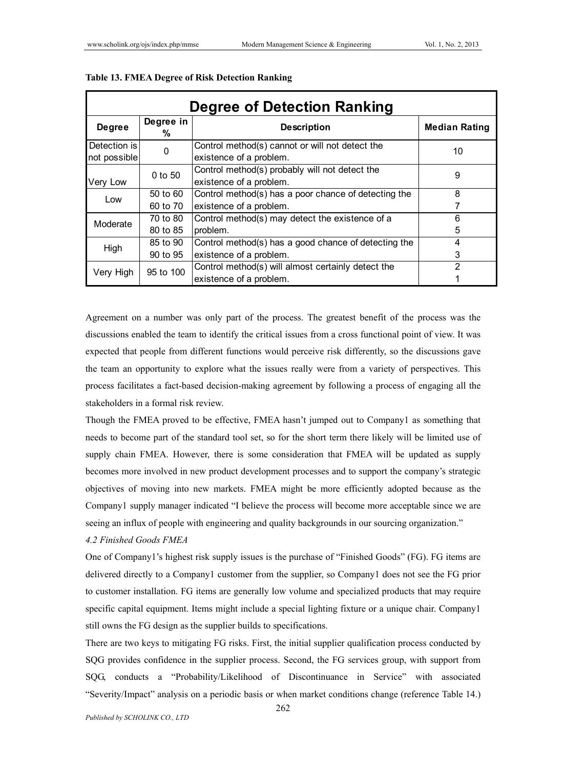|                              | Degree of Detection Ranking |                                                                            |                      |  |  |  |
|------------------------------|-----------------------------|----------------------------------------------------------------------------|----------------------|--|--|--|
| <b>Degree</b>                | Degree in<br>%              | <b>Description</b>                                                         | <b>Median Rating</b> |  |  |  |
| Detection is<br>not possible | $\mathbf 0$                 | Control method(s) cannot or will not detect the<br>existence of a problem. | 10                   |  |  |  |
| Very Low                     | 0 to 50                     | Control method(s) probably will not detect the<br>existence of a problem.  | 9                    |  |  |  |
| Low                          | 50 to 60                    | Control method(s) has a poor chance of detecting the                       | 8                    |  |  |  |
|                              | 60 to 70                    | existence of a problem.                                                    | 7                    |  |  |  |
| Moderate                     | 70 to 80                    | Control method(s) may detect the existence of a                            | 6                    |  |  |  |
|                              | 80 to 85                    | problem.                                                                   | 5                    |  |  |  |
| High                         | 85 to 90                    | Control method(s) has a good chance of detecting the                       | 4                    |  |  |  |
|                              | 90 to 95                    | existence of a problem.                                                    | 3                    |  |  |  |
| Very High                    | 95 to 100                   | Control method(s) will almost certainly detect the                         | 2                    |  |  |  |
|                              |                             | existence of a problem.                                                    |                      |  |  |  |

|  | <b>Table 13. FMEA Degree of Risk Detection Ranking</b> |  |
|--|--------------------------------------------------------|--|
|  |                                                        |  |

Agreement on a number was only part of the process. The greatest benefit of the process was the discussions enabled the team to identify the critical issues from a cross functional point of view. It was expected that people from different functions would perceive risk differently, so the discussions gave the team an opportunity to explore what the issues really were from a variety of perspectives. This process facilitates a fact-based decision-making agreement by following a process of engaging all the stakeholders in a formal risk review.

Though the FMEA proved to be effective, FMEA hasn't jumped out to Company1 as something that needs to become part of the standard tool set, so for the short term there likely will be limited use of supply chain FMEA. However, there is some consideration that FMEA will be updated as supply becomes more involved in new product development processes and to support the company's strategic objectives of moving into new markets. FMEA might be more efficiently adopted because as the Company1 supply manager indicated "I believe the process will become more acceptable since we are seeing an influx of people with engineering and quality backgrounds in our sourcing organization."

# *4.2 Finished Goods FMEA*

One of Company1's highest risk supply issues is the purchase of "Finished Goods" (FG). FG items are delivered directly to a Company1 customer from the supplier, so Company1 does not see the FG prior to customer installation. FG items are generally low volume and specialized products that may require specific capital equipment. Items might include a special lighting fixture or a unique chair. Company1 still owns the FG design as the supplier builds to specifications.

There are two keys to mitigating FG risks. First, the initial supplier qualification process conducted by SQG provides confidence in the supplier process. Second, the FG services group, with support from SQG, conducts a "Probability/Likelihood of Discontinuance in Service" with associated "Severity/Impact" analysis on a periodic basis or when market conditions change (reference Table 14.)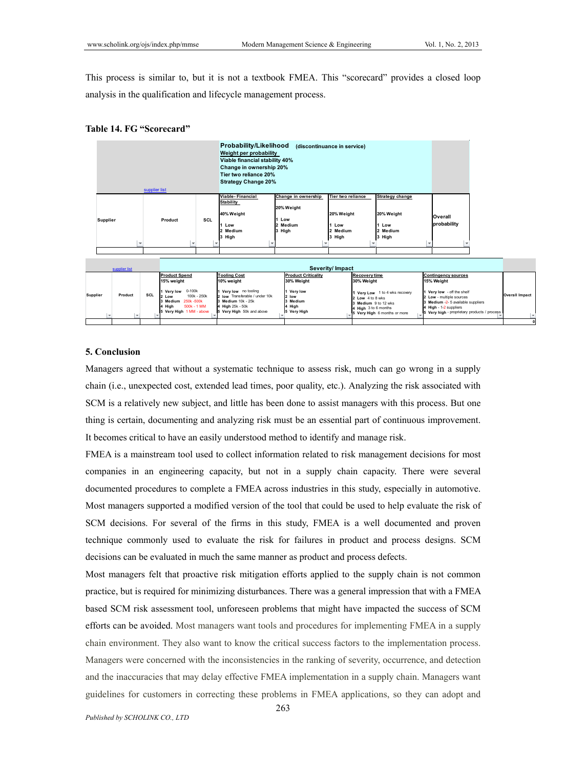This process is similar to, but it is not a textbook FMEA. This "scorecard" provides a closed loop analysis in the qualification and lifecycle management process.

# **Table 14. FG "Scorecard"**

|                           | supplier list     |          | Probability/Likelihood<br>(discontinuance in service)<br>Weight per probability<br>Viable financial stability 40%<br>Change in ownership 20%<br>Tier two reliance 20%<br><b>Strategy Change 20%</b> |                                                                    |                                                                        |                                                                                      |                                        |
|---------------------------|-------------------|----------|-----------------------------------------------------------------------------------------------------------------------------------------------------------------------------------------------------|--------------------------------------------------------------------|------------------------------------------------------------------------|--------------------------------------------------------------------------------------|----------------------------------------|
| <b>Supplier</b><br>$\sim$ | Product<br>$\sim$ | SCL<br>÷ | Viable-Financial<br><b>Stability</b><br>40% Weight<br>Low<br>2 Medium<br>3 High<br>w.                                                                                                               | Change in ownership<br>20% Weight<br>Low<br>Medium<br>I2<br>3 High | Tier two reliance<br>20% Weight<br>Low<br>2 Medium<br>3 High<br>$\sim$ | <b>Strategy change</b><br>20% Weight<br>Low<br>Medium<br>High<br>13<br>$\mathcal{M}$ | Overall<br>probability<br>$\mathbf{v}$ |

|          | supplier list |     | Severity/Impact                                                                                                                                      |                                                                                                                                                                   |                                                                                              |                                                                                                                                                                   |                                                                                                                                                                                                                  |                       |
|----------|---------------|-----|------------------------------------------------------------------------------------------------------------------------------------------------------|-------------------------------------------------------------------------------------------------------------------------------------------------------------------|----------------------------------------------------------------------------------------------|-------------------------------------------------------------------------------------------------------------------------------------------------------------------|------------------------------------------------------------------------------------------------------------------------------------------------------------------------------------------------------------------|-----------------------|
| Supplier | Product       | SCL | <b>Product Spend</b><br>15% weight<br>0-100k<br>Very low<br>100k - 250k<br>Low<br>Medium 250k -500k<br>500k - 1 MM<br>Hiah<br>Verv High 1 MM - above | <b>Tooling Cost</b><br>10% weight<br>Very low no tooling<br>2 Iow Transferable / under 10k<br>3 Medium 10k - 25k<br>4 High 25k - 50k<br>5 Very High 50k and above | <b>Product Criticality</b><br>30% Weight<br>Very low<br>2 low<br>Medium<br>High<br>Very High | Recovery time<br>30% Weight<br>1 Very Low 1 to 4 wks recovery<br>2 Low 4 to 8 wks<br>3 Medium 9 to 12 wks<br>4 High 3 to 6 months<br>5 Very High 6 months or more | <b>Contingency sources</b><br>15% Weight<br>Very low - off the shelf<br>2 Low - multiple sources<br>3 Medium -2- 5 available suppliers<br>4 High - 1-2 suppliers<br>5 Very high - proprietary products / process | <b>Overall Impact</b> |
|          |               |     |                                                                                                                                                      |                                                                                                                                                                   |                                                                                              |                                                                                                                                                                   |                                                                                                                                                                                                                  |                       |

# **5. Conclusion**

Managers agreed that without a systematic technique to assess risk, much can go wrong in a supply chain (i.e., unexpected cost, extended lead times, poor quality, etc.). Analyzing the risk associated with SCM is a relatively new subject, and little has been done to assist managers with this process. But one thing is certain, documenting and analyzing risk must be an essential part of continuous improvement. It becomes critical to have an easily understood method to identify and manage risk.

FMEA is a mainstream tool used to collect information related to risk management decisions for most companies in an engineering capacity, but not in a supply chain capacity. There were several documented procedures to complete a FMEA across industries in this study, especially in automotive. Most managers supported a modified version of the tool that could be used to help evaluate the risk of SCM decisions. For several of the firms in this study, FMEA is a well documented and proven technique commonly used to evaluate the risk for failures in product and process designs. SCM decisions can be evaluated in much the same manner as product and process defects.

Most managers felt that proactive risk mitigation efforts applied to the supply chain is not common practice, but is required for minimizing disturbances. There was a general impression that with a FMEA based SCM risk assessment tool, unforeseen problems that might have impacted the success of SCM efforts can be avoided. Most managers want tools and procedures for implementing FMEA in a supply chain environment. They also want to know the critical success factors to the implementation process. Managers were concerned with the inconsistencies in the ranking of severity, occurrence, and detection and the inaccuracies that may delay effective FMEA implementation in a supply chain. Managers want guidelines for customers in correcting these problems in FMEA applications, so they can adopt and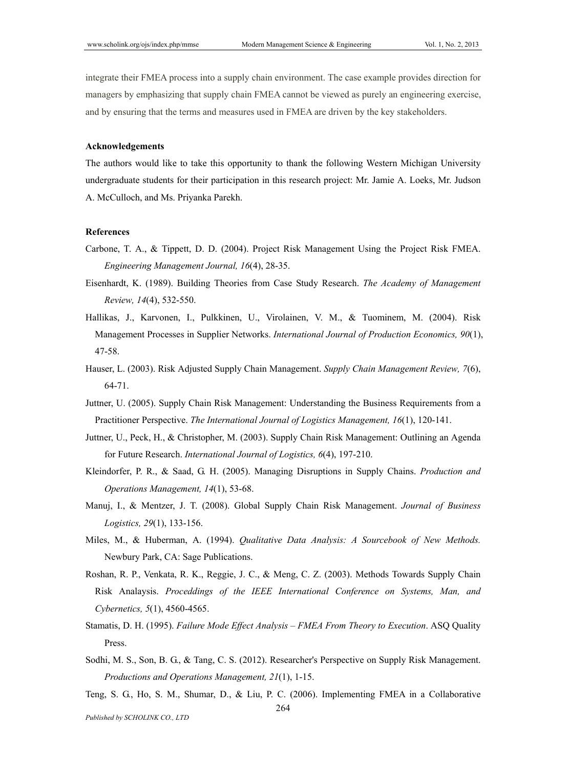integrate their FMEA process into a supply chain environment. The case example provides direction for managers by emphasizing that supply chain FMEA cannot be viewed as purely an engineering exercise, and by ensuring that the terms and measures used in FMEA are driven by the key stakeholders.

#### **Acknowledgements**

The authors would like to take this opportunity to thank the following Western Michigan University undergraduate students for their participation in this research project: Mr. Jamie A. Loeks, Mr. Judson A. McCulloch, and Ms. Priyanka Parekh.

### **References**

- Carbone, T. A., & Tippett, D. D. (2004). Project Risk Management Using the Project Risk FMEA. *Engineering Management Journal, 16*(4), 28-35.
- Eisenhardt, K. (1989). Building Theories from Case Study Research. *The Academy of Management Review, 14*(4), 532-550.
- Hallikas, J., Karvonen, I., Pulkkinen, U., Virolainen, V. M., & Tuominem, M. (2004). Risk Management Processes in Supplier Networks. *International Journal of Production Economics, 90*(1), 47-58.
- Hauser, L. (2003). Risk Adjusted Supply Chain Management. *Supply Chain Management Review, 7*(6), 64-71.
- Juttner, U. (2005). Supply Chain Risk Management: Understanding the Business Requirements from a Practitioner Perspective. *The International Journal of Logistics Management, 16*(1), 120-141.
- Juttner, U., Peck, H., & Christopher, M. (2003). Supply Chain Risk Management: Outlining an Agenda for Future Research. *International Journal of Logistics, 6*(4), 197-210.
- Kleindorfer, P. R., & Saad, G. H. (2005). Managing Disruptions in Supply Chains. *Production and Operations Management, 14*(1), 53-68.
- Manuj, I., & Mentzer, J. T. (2008). Global Supply Chain Risk Management. *Journal of Business Logistics, 29*(1), 133-156.
- Miles, M., & Huberman, A. (1994). *Qualitative Data Analysis: A Sourcebook of New Methods.*  Newbury Park, CA: Sage Publications.
- Roshan, R. P., Venkata, R. K., Reggie, J. C., & Meng, C. Z. (2003). Methods Towards Supply Chain Risk Analaysis. *Proceddings of the IEEE International Conference on Systems, Man, and Cybernetics, 5*(1), 4560-4565.
- Stamatis, D. H. (1995). *Failure Mode Effect Analysis FMEA From Theory to Execution*. ASQ Quality Press.
- Sodhi, M. S., Son, B. G., & Tang, C. S. (2012). Researcher's Perspective on Supply Risk Management. *Productions and Operations Management, 21*(1), 1-15.
- Teng, S. G., Ho, S. M., Shumar, D., & Liu, P. C. (2006). Implementing FMEA in a Collaborative